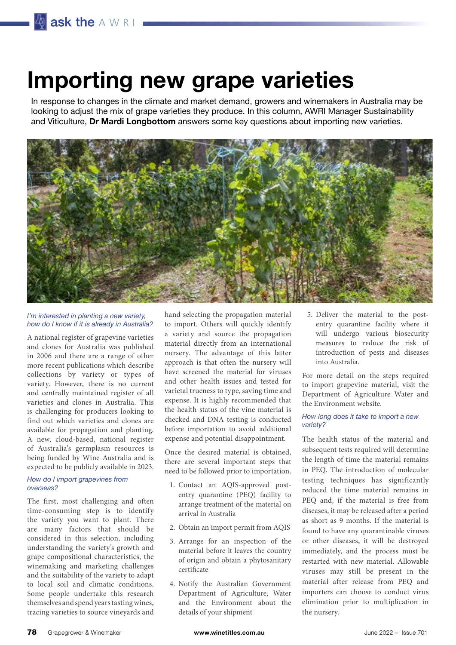# **Importing new grape varieties**

In response to changes in the climate and market demand, growers and winemakers in Australia may be looking to adjust the mix of grape varieties they produce. In this column, AWRI Manager Sustainability and Viticulture, **Dr Mardi Longbottom** answers some key questions about importing new varieties.



#### *I'm interested in planting a new variety, how do I know if it is already in Australia?*

A national register of grapevine varieties and clones for Australia was published in 2006 and there are a range of other more recent publications which describe collections by variety or types of variety. However, there is no current and centrally maintained register of all varieties and clones in Australia. This is challenging for producers looking to find out which varieties and clones are available for propagation and planting. A new, cloud-based, national register of Australia's germplasm resources is being funded by Wine Australia and is expected to be publicly available in 2023.

#### *How do I import grapevines from overseas?*

The first, most challenging and often time-consuming step is to identify the variety you want to plant. There are many factors that should be considered in this selection, including understanding the variety's growth and grape compositional characteristics, the winemaking and marketing challenges and the suitability of the variety to adapt to local soil and climatic conditions. Some people undertake this research themselves and spend years tasting wines, tracing varieties to source vineyards and

hand selecting the propagation material to import. Others will quickly identify a variety and source the propagation material directly from an international nursery. The advantage of this latter approach is that often the nursery will have screened the material for viruses and other health issues and tested for varietal trueness to type, saving time and expense. It is highly recommended that the health status of the vine material is checked and DNA testing is conducted before importation to avoid additional expense and potential disappointment.

Once the desired material is obtained, there are several important steps that need to be followed prior to importation.

- 1. Contact an AQIS-approved postentry quarantine (PEQ) facility to arrange treatment of the material on arrival in Australia
- 2. Obtain an import permit from AQIS
- 3. Arrange for an inspection of the material before it leaves the country of origin and obtain a phytosanitary certificate
- 4. Notify the Australian Government Department of Agriculture, Water and the Environment about the details of your shipment

5. Deliver the material to the postentry quarantine facility where it will undergo various biosecurity measures to reduce the risk of introduction of pests and diseases into Australia.

For more detail on the steps required to import grapevine material, visit the Department of Agriculture Water and the Environment website.

#### *How long does it take to import a new variety?*

The health status of the material and subsequent tests required will determine the length of time the material remains in PEQ. The introduction of molecular testing techniques has significantly reduced the time material remains in PEQ and, if the material is free from diseases, it may be released after a period as short as 9 months. If the material is found to have any quarantinable viruses or other diseases, it will be destroyed immediately, and the process must be restarted with new material. Allowable viruses may still be present in the material after release from PEQ and importers can choose to conduct virus elimination prior to multiplication in the nursery.